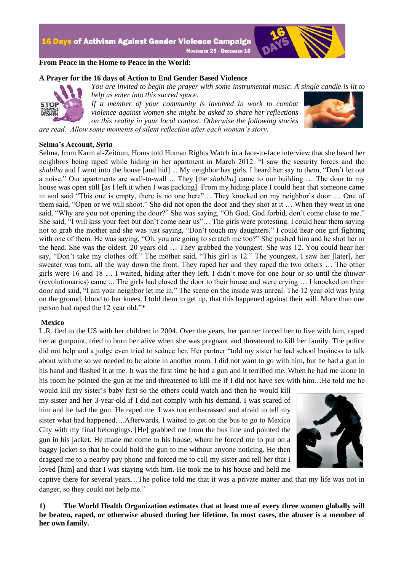

### **From Peace in the Home to Peace in the World:**

### **A Prayer for the 16 days of Action to End Gender Based Violence**



*You are invited to begin the prayer with some instrumental music. A single candle is lit to help us enter into this sacred space.*

*If a member of your community is involved in work to combat violence against women she might be asked to share her reflections on this reality in your local context. Otherwise the following stories are read. Allow some moments of silent reflection after each woman's story.*



**Selma's Account,** *Syria*

Selma, from Karm al-Zeitoun, Homs told Human Rights Watch in a face-to-face interview that she heard her neighbors being raped while hiding in her apartment in March 2012: "I saw the security forces and the *shabiha* and I went into the house [and hid] ... My neighbor has girls. I heard her say to them, "Don't let out a noise." Our apartments are wall-to-wall ... They [the *shabiha*] came to our building … The door to my house was open still [as I left it when I was packing]. From my hiding place I could hear that someone came in and said "This one is empty, there is no one here"… They knocked on my neighbor's door … One of them said, "Open or we will shoot." She did not open the door and they shot at it … When they went in one said, "Why are you not opening the door?" She was saying, "Oh God, God forbid, don't come close to me." She said, "I will kiss your feet but don't come near us"… The girls were protesting. I could hear them saying not to grab the mother and she was just saying, "Don't touch my daughters." I could hear one girl fighting with one of them. He was saying, "Oh, you are going to scratch me too?" She pushed him and he shot her in the head. She was the oldest. 20 years old … They grabbed the youngest. She was 12. You could hear her say, "Don't take my clothes off." The mother said, "This girl is 12." The youngest, I saw her [later], her sweater was torn, all the way down the front. They raped her and they raped the two others … The other girls were 16 and 18 … I waited, hiding after they left. I didn't move for one hour or so until the *thuwar* (revolutionaries) came ... The girls had closed the door to their house and were crying … I knocked on their door and said, "I am your neighbor let me in." The scene on the inside was unreal. The 12 year old was lying on the ground, blood to her knees. I told them to get up, that this happened against their will. More than one person had raped the 12 year old."\*

#### **Mexico**

L.R. fled to the US with her children in 2004. Over the years, her partner forced her to live with him, raped her at gunpoint, tried to burn her alive when she was pregnant and threatened to kill her family. The police did not help and a judge even tried to seduce her. Her partner "told my sister he had school business to talk about with me so we needed to be alone in another room. I did not want to go with him, but he had a gun in his hand and flashed it at me. It was the first time he had a gun and it terrified me. When he had me alone in his room he pointed the gun at me and threatened to kill me if I did not have sex with him...He told me he

would kill my sister's baby first so the others could watch and then he would kill my sister and her 3-year-old if I did not comply with his demand. I was scared of him and he had the gun. He raped me. I was too embarrassed and afraid to tell my sister what had happened….Afterwards, I waited to get on the bus to go to Mexico City with my final belongings. [He] grabbed me from the bus line and pointed the gun in his jacket. He made me come to his house, where he forced me to put on a baggy jacket so that he could hold the gun to me without anyone noticing. He then dragged me to a nearby pay phone and forced me to call my sister and tell her that I loved [him] and that I was staying with him. He took me to his house and held me



captive there for several years…The police told me that it was a private matter and that my life was not in danger, so they could not help me."

**1) The World Health Organization estimates that at least one of every three women globally will be beaten, raped, or otherwise abused during her lifetime. In most cases, the abuser is a member of her own family.**